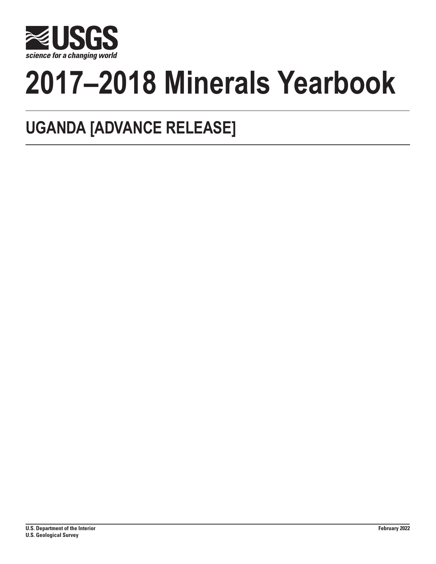

# **2017–2018 Minerals Yearbook**

## **UGANDA [ADVANCE RELEASE]**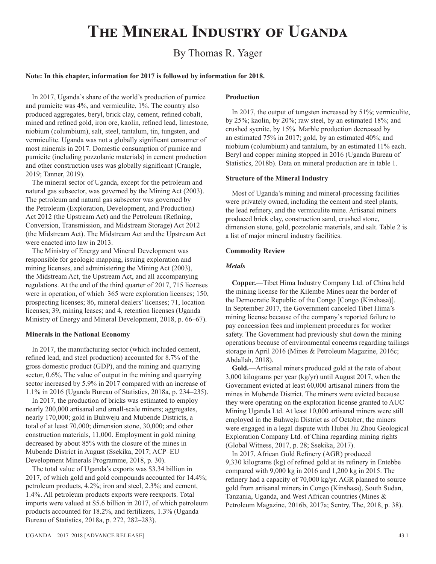## **The Mineral Industry of Uganda**

### By Thomas R. Yager

#### **Note: In this chapter, information for 2017 is followed by information for 2018.**

In 2017, Uganda's share of the world's production of pumice and pumicite was 4%, and vermiculite, 1%. The country also produced aggregates, beryl, brick clay, cement, refined cobalt, mined and refined gold, iron ore, kaolin, refined lead, limestone, niobium (columbium), salt, steel, tantalum, tin, tungsten, and vermiculite. Uganda was not a globally significant consumer of most minerals in 2017. Domestic consumption of pumice and pumicite (including pozzolanic materials) in cement production and other construction uses was globally significant (Crangle, 2019; Tanner, 2019).

The mineral sector of Uganda, except for the petroleum and natural gas subsector, was governed by the Mining Act (2003). The petroleum and natural gas subsector was governed by the Petroleum (Exploration, Development, and Production) Act 2012 (the Upstream Act) and the Petroleum (Refining, Conversion, Transmission, and Midstream Storage) Act 2012 (the Midstream Act). The Midstream Act and the Upstream Act were enacted into law in 2013.

The Ministry of Energy and Mineral Development was responsible for geologic mapping, issuing exploration and mining licenses, and administering the Mining Act (2003), the Midstream Act, the Upstream Act, and all accompanying regulations. At the end of the third quarter of 2017, 715 licenses were in operation, of which 365 were exploration licenses; 150, prospecting licenses; 86, mineral dealers' licenses; 71, location licenses; 39, mining leases; and 4, retention licenses (Uganda Ministry of Energy and Mineral Development, 2018, p. 66–67).

#### **Minerals in the National Economy**

In 2017, the manufacturing sector (which included cement, refined lead, and steel production) accounted for 8.7% of the gross domestic product (GDP), and the mining and quarrying sector, 0.6%. The value of output in the mining and quarrying sector increased by 5.9% in 2017 compared with an increase of 1.1% in 2016 (Uganda Bureau of Statistics, 2018a, p. 234–235).

In 2017, the production of bricks was estimated to employ nearly 200,000 artisanal and small-scale miners; aggregates, nearly 170,000; gold in Buhweju and Mubende Districts, a total of at least 70,000; dimension stone, 30,000; and other construction materials, 11,000. Employment in gold mining decreased by about 85% with the closure of the mines in Mubende District in August (Ssekika, 2017; ACP–EU Development Minerals Programme, 2018, p. 30).

The total value of Uganda's exports was \$3.34 billion in 2017, of which gold and gold compounds accounted for 14.4%; petroleum products, 4.2%; iron and steel, 2.3%; and cement, 1.4%. All petroleum products exports were reexports. Total imports were valued at \$5.6 billion in 2017, of which petroleum products accounted for 18.2%, and fertilizers, 1.3% (Uganda Bureau of Statistics, 2018a, p. 272, 282–283).

#### **Production**

In 2017, the output of tungsten increased by 51%; vermiculite, by 25%; kaolin, by 20%; raw steel, by an estimated 18%; and crushed syenite, by 15%. Marble production decreased by an estimated 75% in 2017; gold, by an estimated 40%; and niobium (columbium) and tantalum, by an estimated 11% each. Beryl and copper mining stopped in 2016 (Uganda Bureau of Statistics, 2018b). Data on mineral production are in table 1.

#### **Structure of the Mineral Industry**

Most of Uganda's mining and mineral-processing facilities were privately owned, including the cement and steel plants, the lead refinery, and the vermiculite mine. Artisanal miners produced brick clay, construction sand, crushed stone, dimension stone, gold, pozzolanic materials, and salt. Table 2 is a list of major mineral industry facilities.

#### **Commodity Review**

#### *Metals*

**Copper.**—Tibet Hima Industry Company Ltd. of China held the mining license for the Kilembe Mines near the border of the Democratic Republic of the Congo [Congo (Kinshasa)]. In September 2017, the Government canceled Tibet Hima's mining license because of the company's reported failure to pay concession fees and implement procedures for worker safety. The Government had previously shut down the mining operations because of environmental concerns regarding tailings storage in April 2016 (Mines & Petroleum Magazine, 2016c; Abdallah, 2018).

**Gold.**—Artisanal miners produced gold at the rate of about 3,000 kilograms per year (kg/yr) until August 2017, when the Government evicted at least 60,000 artisanal miners from the mines in Mubende District. The miners were evicted because they were operating on the exploration license granted to AUC Mining Uganda Ltd. At least 10,000 artisanal miners were still employed in the Buhweju District as of October; the miners were engaged in a legal dispute with Hubei Jiu Zhou Geological Exploration Company Ltd. of China regarding mining rights (Global Witness, 2017, p. 28; Ssekika, 2017).

In 2017, African Gold Refinery (AGR) produced 9,330 kilograms (kg) of refined gold at its refinery in Entebbe compared with 9,000 kg in 2016 and 1,200 kg in 2015. The refinery had a capacity of 70,000 kg/yr. AGR planned to source gold from artisanal miners in Congo (Kinshasa), South Sudan, Tanzania, Uganda, and West African countries (Mines & Petroleum Magazine, 2016b, 2017a; Sentry, The, 2018, p. 38).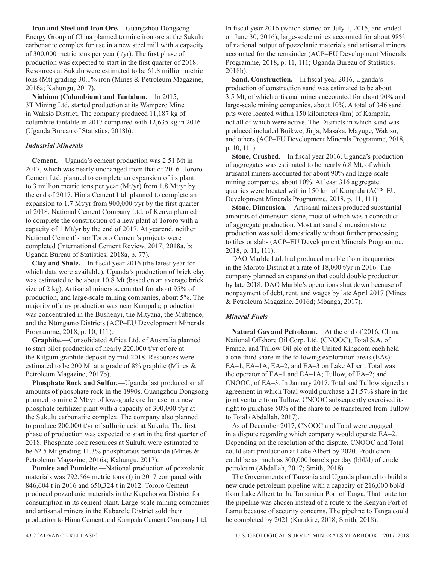**Iron and Steel and Iron Ore.**—Guangzhou Dongsong Energy Group of China planned to mine iron ore at the Sukulu carbonatite complex for use in a new steel mill with a capacity of 300,000 metric tons per year (t/yr). The first phase of production was expected to start in the first quarter of 2018. Resources at Sukulu were estimated to be 61.8 million metric tons (Mt) grading 30.1% iron (Mines & Petroleum Magazine, 2016a; Kahungu, 2017).

**Niobium (Columbium) and Tantalum.**—In 2015, 3T Mining Ltd. started production at its Wampero Mine in Waksio District. The company produced 11,187 kg of columbite-tantalite in 2017 compared with 12,635 kg in 2016 (Uganda Bureau of Statistics, 2018b).

#### *Industrial Minerals*

**Cement.**—Uganda's cement production was 2.51 Mt in 2017, which was nearly unchanged from that of 2016. Tororo Cement Ltd. planned to complete an expansion of its plant to 3 million metric tons per year (Mt/yr) from 1.8 Mt/yr by the end of 2017. Hima Cement Ltd. planned to complete an expansion to 1.7 Mt/yr from 900,000 t/yr by the first quarter of 2018. National Cement Company Ltd. of Kenya planned to complete the construction of a new plant at Tororo with a capacity of 1 Mt/yr by the end of 2017. At yearend, neither National Cement's nor Tororo Cement's projects were completed (International Cement Review, 2017; 2018a, b; Uganda Bureau of Statistics, 2018a, p. 77).

**Clay and Shale.**—In fiscal year 2016 (the latest year for which data were available), Uganda's production of brick clay was estimated to be about 10.8 Mt (based on an average brick size of 2 kg). Artisanal miners accounted for about 95% of production, and large-scale mining companies, about 5%. The majority of clay production was near Kampala; production was concentrated in the Bushenyi, the Mityana, the Mubende, and the Ntungamo Districts (ACP–EU Development Minerals Programme, 2018, p. 10, 111).

**Graphite.**—Consolidated Africa Ltd. of Australia planned to start pilot production of nearly 220,000 t/yr of ore at the Kitgum graphite deposit by mid-2018. Resources were estimated to be 200 Mt at a grade of 8% graphite (Mines & Petroleum Magazine, 2017b).

**Phosphate Rock and Sulfur.**—Uganda last produced small amounts of phosphate rock in the 1990s. Guangzhou Dongsong planned to mine 2 Mt/yr of low-grade ore for use in a new phosphate fertilizer plant with a capacity of 300,000 t/yr at the Sukulu carbonatite complex. The company also planned to produce 200,000 t/yr of sulfuric acid at Sukulu. The first phase of production was expected to start in the first quarter of 2018. Phosphate rock resources at Sukulu were estimated to be 62.5 Mt grading 11.3% phosphorous pentoxide (Mines & Petroleum Magazine, 2016a; Kahungu, 2017).

**Pumice and Pumicite.**—National production of pozzolanic materials was 792,564 metric tons (t) in 2017 compared with 846,604 t in 2016 and 650,324 t in 2012. Tororo Cement produced pozzolanic materials in the Kapchorwa District for consumption in its cement plant. Large-scale mining companies and artisanal miners in the Kabarole District sold their production to Hima Cement and Kampala Cement Company Ltd.

In fiscal year 2016 (which started on July 1, 2015, and ended on June 30, 2016), large-scale mines accounted for about 98% of national output of pozzolanic materials and artisanal miners accounted for the remainder (ACP–EU Development Minerals Programme, 2018, p. 11, 111; Uganda Bureau of Statistics, 2018b).

**Sand, Construction.**—In fiscal year 2016, Uganda's production of construction sand was estimated to be about 3.5 Mt, of which artisanal miners accounted for about 90% and large-scale mining companies, about 10%. A total of 346 sand pits were located within 150 kilometers (km) of Kampala, not all of which were active. The Districts in which sand was produced included Buikwe, Jinja, Masaka, Mayuge, Wakiso, and others (ACP–EU Development Minerals Programme, 2018, p. 10, 111).

**Stone, Crushed.**—In fiscal year 2016, Uganda's production of aggregates was estimated to be nearly 6.8 Mt, of which artisanal miners accounted for about 90% and large-scale mining companies, about 10%. At least 316 aggregate quarries were located within 150 km of Kampala (ACP–EU Development Minerals Programme, 2018, p. 11, 111).

**Stone, Dimension.**—Artisanal miners produced substantial amounts of dimension stone, most of which was a coproduct of aggregate production. Most artisanal dimension stone production was sold domestically without further processing to tiles or slabs (ACP–EU Development Minerals Programme, 2018, p. 11, 111).

DAO Marble Ltd. had produced marble from its quarries in the Moroto District at a rate of 18,000 t/yr in 2016. The company planned an expansion that could double production by late 2018. DAO Marble's operations shut down because of nonpayment of debt, rent, and wages by late April 2017 (Mines & Petroleum Magazine, 2016d; Mbanga, 2017).

#### *Mineral Fuels*

**Natural Gas and Petroleum.**—At the end of 2016, China National Offshore Oil Corp. Ltd. (CNOOC), Total S.A. of France, and Tullow Oil plc of the United Kingdom each held a one-third share in the following exploration areas (EAs): EA–1, EA–1A, EA–2, and EA–3 on Lake Albert. Total was the operator of EA–1 and EA–1A; Tullow, of EA–2; and CNOOC, of EA–3. In January 2017, Total and Tullow signed an agreement in which Total would purchase a 21.57% share in the joint venture from Tullow. CNOOC subsequently exercised its right to purchase 50% of the share to be transferred from Tullow to Total (Abdallah, 2017).

As of December 2017, CNOOC and Total were engaged in a dispute regarding which company would operate EA–2. Depending on the resolution of the dispute, CNOOC and Total could start production at Lake Albert by 2020. Production could be as much as 300,000 barrels per day (bbl/d) of crude petroleum (Abdallah, 2017; Smith, 2018).

The Governments of Tanzania and Uganda planned to build a new crude petroleum pipeline with a capacity of 216,000 bbl/d from Lake Albert to the Tanzanian Port of Tanga. That route for the pipeline was chosen instead of a route to the Kenyan Port of Lamu because of security concerns. The pipeline to Tanga could be completed by 2021 (Karakire, 2018; Smith, 2018).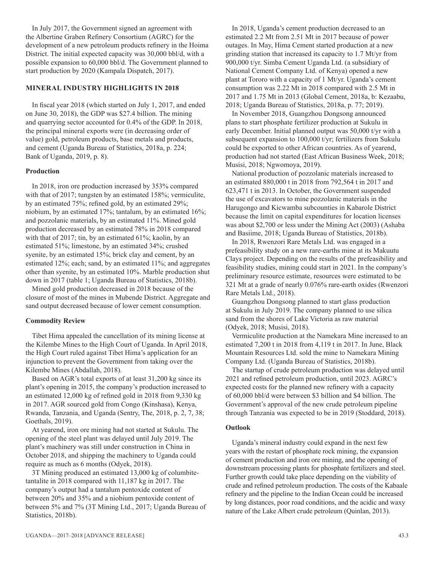In July 2017, the Government signed an agreement with the Albertine Graben Refinery Consortium (AGRC) for the development of a new petroleum products refinery in the Hoima District. The initial expected capacity was 30,000 bbl/d, with a possible expansion to 60,000 bbl/d. The Government planned to start production by 2020 (Kampala Dispatch, 2017).

#### **MINERAL INDUSTRY HIGHLIGHTS IN 2018**

In fiscal year 2018 (which started on July 1, 2017, and ended on June 30, 2018), the GDP was \$27.4 billion. The mining and quarrying sector accounted for 0.4% of the GDP. In 2018, the principal mineral exports were (in decreasing order of value) gold, petroleum products, base metals and products, and cement (Uganda Bureau of Statistics, 2018a, p. 224; Bank of Uganda, 2019, p. 8).

#### **Production**

In 2018, iron ore production increased by 353% compared with that of 2017; tungsten by an estimated 158%; vermiculite, by an estimated 75%; refined gold, by an estimated 29%; niobium, by an estimated 17%; tantalum, by an estimated 16%; and pozzolanic materials, by an estimated 11%. Mined gold production decreased by an estimated 78% in 2018 compared with that of 2017; tin, by an estimated 61%; kaolin, by an estimated 51%; limestone, by an estimated 34%; crushed syenite, by an estimated 15%; brick clay and cement, by an estimated 12%; each; sand, by an estimated 11%; and aggregates other than syenite, by an estimated 10%. Marble production shut down in 2017 (table 1; Uganda Bureau of Statistics, 2018b).

Mined gold production decreased in 2018 because of the closure of most of the mines in Mubende District. Aggregate and sand output decreased because of lower cement consumption.

#### **Commodity Review**

Tibet Hima appealed the cancellation of its mining license at the Kilembe Mines to the High Court of Uganda. In April 2018, the High Court ruled against Tibet Hima's application for an injunction to prevent the Government from taking over the Kilembe Mines (Abdallah, 2018).

Based on AGR's total exports of at least 31,200 kg since its plant's opening in 2015, the company's production increased to an estimated 12,000 kg of refined gold in 2018 from 9,330 kg in 2017. AGR sourced gold from Congo (Kinshasa), Kenya, Rwanda, Tanzania, and Uganda (Sentry, The, 2018, p. 2, 7, 38; Goethals, 2019).

At yearend, iron ore mining had not started at Sukulu. The opening of the steel plant was delayed until July 2019. The plant's machinery was still under construction in China in October 2018, and shipping the machinery to Uganda could require as much as 6 months (Odyek, 2018).

3T Mining produced an estimated 13,000 kg of columbitetantalite in 2018 compared with 11,187 kg in 2017. The company's output had a tantalum pentoxide content of between 20% and 35% and a niobium pentoxide content of between 5% and 7% (3T Mining Ltd., 2017; Uganda Bureau of Statistics, 2018b).

In 2018, Uganda's cement production decreased to an estimated 2.2 Mt from 2.51 Mt in 2017 because of power outages. In May, Hima Cement started production at a new grinding station that increased its capacity to 1.7 Mt/yr from 900,000 t/yr. Simba Cement Uganda Ltd. (a subsidiary of National Cement Company Ltd. of Kenya) opened a new plant at Tororo with a capacity of 1 Mt/yr. Uganda's cement consumption was 2.22 Mt in 2018 compared with 2.5 Mt in 2017 and 1.75 Mt in 2013 (Global Cement, 2018a, b: Kezaabu, 2018; Uganda Bureau of Statistics, 2018a, p. 77; 2019).

In November 2018, Guangzhou Dongsong announced plans to start phosphate fertilizer production at Sukulu in early December. Initial planned output was 50,000 t/yr with a subsequent expansion to 100,000 t/yr; fertilizers from Sukulu could be exported to other African countries. As of yearend, production had not started (East African Business Week, 2018; Musisi, 2018; Ngwomoya, 2019).

National production of pozzolanic materials increased to an estimated 880,000 t in 2018 from 792,564 t in 2017 and 623,471 t in 2013. In October, the Government suspended the use of excavators to mine pozzolanic materials in the Harugongo and Kicwamba subcounties in Kabarole District because the limit on capital expenditures for location licenses was about \$2,700 or less under the Mining Act (2003) (Ashaba and Basiime, 2018; Uganda Bureau of Statistics, 2018b).

In 2018, Rwenzori Rare Metals Ltd. was engaged in a prefeasibility study on a new rare-earths mine at its Makuutu Clays project. Depending on the results of the prefeasibility and feasibility studies, mining could start in 2021. In the company's preliminary resource estimate, resources were estimated to be 321 Mt at a grade of nearly 0.076% rare-earth oxides (Rwenzori Rare Metals Ltd., 2018).

Guangzhou Dongsong planned to start glass production at Sukulu in July 2019. The company planned to use silica sand from the shores of Lake Victoria as raw material (Odyek, 2018; Musisi, 2018).

Vermiculite production at the Namekara Mine increased to an estimated 7,200 t in 2018 from 4,119 t in 2017. In June, Black Mountain Resources Ltd. sold the mine to Namekara Mining Company Ltd. (Uganda Bureau of Statistics, 2018b).

The startup of crude petroleum production was delayed until 2021 and refined petroleum production, until 2023. AGRC's expected costs for the planned new refinery with a capacity of 60,000 bbl/d were between \$3 billion and \$4 billion. The Government's approval of the new crude petroleum pipeline through Tanzania was expected to be in 2019 (Stoddard, 2018).

#### **Outlook**

Uganda's mineral industry could expand in the next few years with the restart of phosphate rock mining, the expansion of cement production and iron ore mining, and the opening of downstream processing plants for phosphate fertilizers and steel. Further growth could take place depending on the viability of crude and refined petroleum production. The costs of the Kabaale refinery and the pipeline to the Indian Ocean could be increased by long distances, poor road conditions, and the acidic and waxy nature of the Lake Albert crude petroleum (Quinlan, 2013).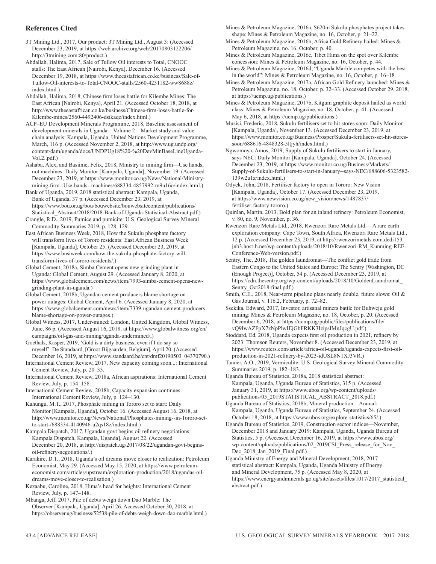#### **References Cited**

3T Mining Ltd., 2017, Our product: 3T Mining Ltd., August 3: (Accessed December 23, 2019, at https://web.archive.org/web/20170803122206/ http://3tmining.com:80/product.)

Abdallah, Halima, 2017, Sale of Tullow Oil interests to Total, CNOOC stalls: The East African [Nairobi, Kenya], December 16. (Accessed December 19, 2018, at https://www.theeastafrican.co.ke/business/Sale-of-Tullow-Oil-interests-to-Total-CNOOC-stalls/2560-4231182-ww8688z/ index.html.)

Abdallah, Halima, 2018, Chinese firm loses battle for Kilembe Mines: The East African [Nairobi, Kenya], April 21. (Accessed October 18, 2018, at http://www.theeastafrican.co.ke/business/Chinese-firm-loses-battle-for-Kilembe-mines/2560-4492406-dsikaqz/index.html.)

ACP–EU Development Minerals Programme, 2018, Baseline assessment of development minerals in Uganda—Volume 2—Market study and value chain analysis: Kampala, Uganda, United Nations Development Programme, March, 116 p. (Accessed November 2, 2018, at http://www.ug.undp.org/ content/dam/uganda/docs/UNDPUg18%20-%20DevMinBaseLineUganda-Vol.2..pdf.)

Ashaba, Alex, and Basiime, Felix, 2018, Ministry to mining firm—Use hands, not machines: Daily Monitor [Kampala, Uganda], November 19. (Accessed December 23, 2019, at https://www.monitor.co.ug/News/National/Ministrymining-firm--Use-hands--machines/688334-4857992-m9u16o/index.html.)

Bank of Uganda, 2019, 2018 statistical abstract: Kampala, Uganda, Bank of Uganda, 37 p. (Accessed December 23, 2019, at https://www.bou.or.ug/bou/bouwebsite/bouwebsitecontent/publications/ Statistical\_Abstract/2018/2018-Bank-of-Uganda-Statistical-Abstract.pdf.)

Crangle, R.D., 2019, Pumice and pumicite: U.S. Geological Survey Mineral Commodity Summaries 2019, p. 128–129.

East African Business Week, 2018, How the Sukulu phosphate factory will transform lives of Tororo residents: East African Business Week [Kampala, Uganda], October 25. (Accessed December 23, 2019, at https://www.busiweek.com/how-the-sukulu-phosphate-factory-willtransform-lives-of-tororo-residents/.)

Global Cement, 2018a, Simba Cement opens new grinding plant in Uganda: Global Cement, August 29. (Accessed January 8, 2020, at https://www.globalcement.com/news/item/7993-simba-cement-opens-newgrinding-plant-in-uganda.)

Global Cement, 2018b, Ugandan cement producers blame shortage on power outages: Global Cement, April 6. (Accessed January 8, 2020, at https://www.globalcement.com/news/item/7339-ugandan-cement-producersblame-shortage-on-power-outages.)

Global Witness, 2017, Under-mined: London, United Kingdom, Global Witness, June, 86 p. (Accessed August 16, 2018, at https://www.globalwitness.org/en/ campaigns/oil-gas-and-mining/uganda-undermined/,)

Goethals, Kasper, 2019, 'Gold is a dirty business, even if I do say so myself': De Standaard, [Groot-Bijgaarden, Belgium], April 20. (Accessed December 16, 2019, at https://www.standaard.be/cnt/dmf20190503\_04370790.) International Cement Review, 2017, New capacity coming soon...: International

Cement Review, July, p. 20–33. International Cement Review, 2018a, African aspirations: International Cement

Review, July, p. 154–158.

International Cement Review, 2018b, Capacity expansion continues: International Cement Review, July, p. 124–130.

Kahungu, M.T., 2017, Phosphate mining in Tororo set to start: Daily Monitor [Kampala, Uganda], October 16. (Accessed August 16, 2018, at http://www.monitor.co.ug/News/National/Phosphates-mining--in-Tororo-setto-start-/688334-4140946-u2qs18z/index.html.)

Kampala Dispatch, 2017, Ugandan govt begins oil refinery negotiations: Kampala Dispatch, Kampala, Uganda], August 22. (Accessed December 20, 2018, at http://dispatch.ug/2017/08/22/ugandan-govt-beginsoil-refinery-negotiations/.)

Karakire, D.T., 2018, Uganda's oil dreams move closer to realization: Petroleum Economist, May 29. (Accessed May 15, 2020, at https://www.petroleumeconomist.com/articles/upstream/exploration-production/2018/ugandas-oildreams-move-closer-to-realisation.)

Kezaabu, Caroline, 2018, Hima's head for heights: International Cement Review, July, p. 147–148.

Mbanga, Jeff, 2017, Pile of debts weigh down Dao Marble: The Observer [Kampala, Uganda], April 26. Accessed October 30, 2018, at https://observer.ug/business/52538-pile-of-debts-weigh-down-dao-marble.html.) Mines & Petroleum Magazine, 2016a, \$620m Sukulu phosphates project takes shape: Mines & Petroleum Magazine, no. 16, October, p. 21–22.

Mines & Petroleum Magazine, 2016b, Africa Gold Refinery hailed: Mines & Petroleum Magazine, no. 16, October, p. 40.

Mines & Petroleum Magazine, 2016c, Tibet Hima on the spot over Kilembe concession: Mines & Petroleum Magazine, no. 16, October, p. 44.

Mines & Petroleum Magazine, 2016d, "Uganda Marble competes with the best in the world": Mines & Petroleum Magazine, no. 16, October, p. 16–18.

Mines & Petroleum Magazine, 2017a, African Gold Refinery launched: Mines & Petroleum Magazine, no. 18, October, p. 32–33. (Accessed October 29, 2018, at https://ucmp.ug/publications.)

Mines & Petroleum Magazine, 2017b, Kitgum graphite deposit hailed as world class: Mines & Petroleum Magazine, no. 18, October, p. 41. (Accessed May 6, 2018, at https://ucmp.ug/publications.)

Musisi, Frederic, 2018, Sukulu fertilisers set to hit stores soon: Daily Monitor [Kampala, Uganda], November 13. (Accessed December 23, 2019, at https://www.monitor.co.ug/Business/Prosper/Sukulu-fertilisers-set-hit-storessoon/688616-4848328-5ltjyh/index.html.)

Ngwomoya, Amos, 2019, Supply of Sukulu fertilisers to start in January, says NEC: Daily Monitor [Kampala, Uganda], October 24. (Accessed December 23, 2019, at https://www.monitor.co.ug/Business/Markets/ Supply-of-Sukulu-fertilisers-to-start-in-January--says-NEC/688606-5323582- 139w2u1z/index.html.)

Odyek, John, 2018, Fertiliser factory to open in Tororo: New Vision [Kampala, Uganda], October 17. (Accessed December 23, 2019, at https://www.newvision.co.ug/new\_vision/news/1487837/ fertiliser-factory-tororo.)

Quinlan, Martin, 2013, Bold plan for an inland refinery: Petroleum Economist, v. 80, no. 9, November, p. 36.

Rwenzori Rare Metals Ltd., 2018, Rwenzori Rare Metals Ltd.—A rare earth exploration company: Cape Town, South Africa, Rwenzori Rare Metals Ltd., 12 p. (Accessed December 23, 2019, at http://rwenzorimetals.com.dedi153. jnb3.host-h.net/wp-content/uploads/2018/10/Rwenzori-RM\_Kunming-REE-Conference-Web-version.pdf.)

Sentry, The, 2018, The golden laundromat—The conflict gold trade from Eastern Congo to the United States and Europe: The Sentry [Washington, DC (Enough Project)], October, 54 p. (Accessed December 23, 2019, at https://cdn.thesentry.org/wp-content/uploads/2018/10/GoldenLaundromat\_ Sentry\_Oct2018-final.pdf.)

Smith, C.E., 2018, Near-term pipeline plans nearly double, future slows: Oil & Gas Journal, v. 116.2, February, p. 72–82.

Ssekika, Edward, 2017, Investor, artisanal miners battle for Buhweju gold mining: Mines & Petroleum Magazine, no. 18, October, p. 20. (Accessed December 6, 2018, at https://ucmp.ug/public/files/publications/file/ vQ9IwAZFpX7zNpPlwIEjGbFRKK3IzipsIMnJqcgU.pdf.)

Stoddard, Ed, 2018, Uganda expects first oil production in 2021, refinery by 2023: Thomson Reuters, November 8. (Accessed December 23, 2019, at https://www.reuters.com/article/africa-oil-uganda/uganda-expects-first-oilproduction-in-2021-refinery-by-2023-idUSL8N1XJ3VR.)

Tanner, A.O., 2019, Vermiculite: U.S. Geological Survey Mineral Commodity Summaries 2019, p. 182–183.

Uganda Bureau of Statistics, 2018a, 2018 statistical abstract: Kampala, Uganda, Uganda Bureau of Statistics, 315 p. (Accessed January 31, 2019, at https://www.ubos.org/wp-content/uploads/ publications/05\_2019STATISTICAL\_ABSTRACT\_2018.pdf.)

Uganda Bureau of Statistics, 2018b, Mineral production—Annual: Kampala, Uganda, Uganda Bureau of Statistics, September 24. (Accessed October 18, 2018, at https://www.ubos.org/explore-statistics/65/.)

Uganda Bureau of Statistics, 2019, Construction sector indices—November, December 2018 and January 2019: Kampala, Uganda, Uganda Bureau of Statistics, 5 p. (Accessed December 16, 2019, at https://www.ubos.org/ wp-content/uploads/publications/02\_2019CSI\_Press\_release\_for\_Nov\_ Dec 2018 Jan 2019 Final.pdf.)

Uganda Ministry of Energy and Mineral Development, 2018, 2017 statistical abstract: Kampala, Uganda, Uganda Ministry of Energy and Mineral Development, 75 p. (Accessed May 8, 2020, at https://www.energyandminerals.go.ug/site/assets/files/1017/2017\_statistical\_ abstract.pdf.)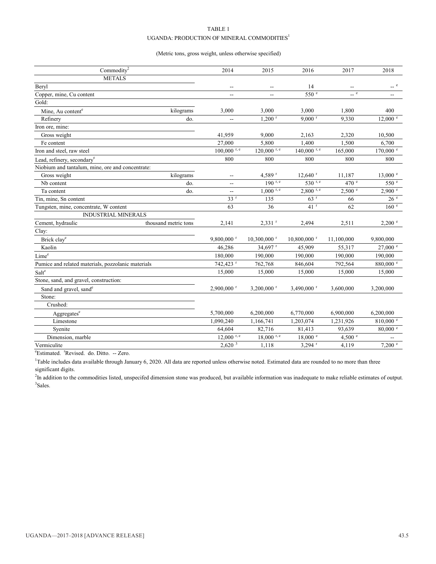#### TABLE 1 UGANDA: PRODUCTION OF MINERAL COMMODITIES $^{\rm l}$

#### (Metric tons, gross weight, unless otherwise specified)

| Commodity <sup>2</sup>                             |                      | 2014                     | 2015                      | 2016                      | 2017             | 2018                 |
|----------------------------------------------------|----------------------|--------------------------|---------------------------|---------------------------|------------------|----------------------|
| <b>METALS</b>                                      |                      |                          |                           |                           |                  |                      |
| Beryl                                              |                      | --                       | --                        | 14                        |                  |                      |
| Copper, mine, Cu content                           |                      | $\overline{a}$           | $\overline{\phantom{a}}$  | $550^{\circ}$             | e                | --                   |
| Gold:                                              |                      |                          |                           |                           |                  |                      |
| Mine, Au content <sup>e</sup>                      | kilograms            | 3,000                    | 3,000                     | 3,000                     | 1,800            | 400                  |
| Refinery                                           | do.                  | $- -$                    | $1.200$ <sup>r</sup>      | $9.000$ <sup>r</sup>      | 9,330            | $12,000$ $e$         |
| Iron ore, mine:                                    |                      |                          |                           |                           |                  |                      |
| Gross weight                                       |                      | 41,959                   | 9,000                     | 2,163                     | 2,320            | 10,500               |
| Fe content                                         |                      | 27,000                   | 5,800                     | 1,400                     | 1,500            | 6,700                |
| Iron and steel, raw steel                          |                      | $100,000$ r, e           | $120,000$ r, e            | $140,000$ <sup>r, e</sup> | 165,000          | $170,000$ $^{\circ}$ |
| Lead, refinery, secondary <sup>e</sup>             |                      | 800                      | 800                       | 800                       | 800              | 800                  |
| Niobium and tantalum, mine, ore and concentrate:   |                      |                          |                           |                           |                  |                      |
| Gross weight                                       | kilograms            | --                       | 4.589 $r$                 | $12,640$ <sup>r</sup>     | 11,187           | $13,000$ $\degree$   |
| Nb content                                         | do.                  | $\overline{\phantom{a}}$ | $190$ r, e                | 530 $r, e$                | 470 e            | 550 <sup>e</sup>     |
| Ta content                                         | do.                  | --                       | $1,000$ r, e              | $2,800$ r, e              | 2,500 °          | 2,900 °              |
| Tin, mine, Sn content                              |                      | 33 <sup>r</sup>          | 135                       | 63r                       | 66               | 26e                  |
| Tungsten, mine, concentrate, W content             |                      | 63                       | 36                        | 41 <sup>r</sup>           | 62               | 160 <sup>e</sup>     |
| <b>INDUSTRIAL MINERALS</b>                         |                      |                          |                           |                           |                  |                      |
| Cement, hydraulic                                  | thousand metric tons | 2,141                    | $2,331$ <sup>r</sup>      | 2,494                     | 2,511            | 2,200 °              |
| Clay:                                              |                      |                          |                           |                           |                  |                      |
| Brick clay <sup>e</sup>                            |                      | $9,800,000$ <sup>r</sup> | $10,300,000$ <sup>r</sup> | $10,800,000$ <sup>r</sup> | 11,100,000       | 9,800,000            |
| Kaolin                                             |                      | 46,286                   | 34.697 $r$                | 45,909                    | 55,317           | $27,000$ $^{\circ}$  |
| Lime <sup>e</sup>                                  |                      | 180,000                  | 190,000                   | 190,000                   | 190,000          | 190,000              |
| Pumice and related materials, pozzolanic materials |                      | 742,423 r                | 762,768                   | 846,604                   | 792,564          | 880,000 °            |
| $\mathsf{Salt}^\mathsf{e}$                         |                      | 15,000                   | 15,000                    | 15,000                    | 15,000           | 15,000               |
| Stone, sand, and gravel, construction:             |                      |                          |                           |                           |                  |                      |
| Sand and gravel, sand <sup>e</sup>                 |                      | 2,900,000 r              | $3,200,000$ <sup>r</sup>  | $3,490,000$ <sup>r</sup>  | 3,600,000        | 3,200,000            |
| Stone:                                             |                      |                          |                           |                           |                  |                      |
| Crushed:                                           |                      |                          |                           |                           |                  |                      |
| Aggregates <sup>e</sup>                            |                      | 5,700,000                | 6,200,000                 | 6,770,000                 | 6,900,000        | 6,200,000            |
| Limestone                                          |                      | 1,090,240                | 1,166,741                 | 1,203,074                 | 1,231,926        | 810,000 e            |
| Syenite                                            |                      | 64,604                   | 82,716                    | 81,413                    | 93,639           | $80,000$ $e$         |
| Dimension, marble                                  |                      | $12,000$ r, e            | $18,000$ r, e             | 18,000 °                  | 4,500 $^{\circ}$ |                      |
| Vermiculite                                        |                      | $2,620\overline{3}$      | 1,118                     | $3,294$ <sup>r</sup>      | 4,119            | 7,200 °              |

<sup>e</sup>Estimated. <sup>r</sup>Revised. do. Ditto. -- Zero.

<sup>1</sup>Table includes data available through January 6, 2020. All data are reported unless otherwise noted. Estimated data are rounded to no more than three significant digits.

<sup>2</sup>In addition to the commodities listed, unspecifed dimension stone was produced, but available information was inadequate to make reliable estimates of output. 3 Sales.